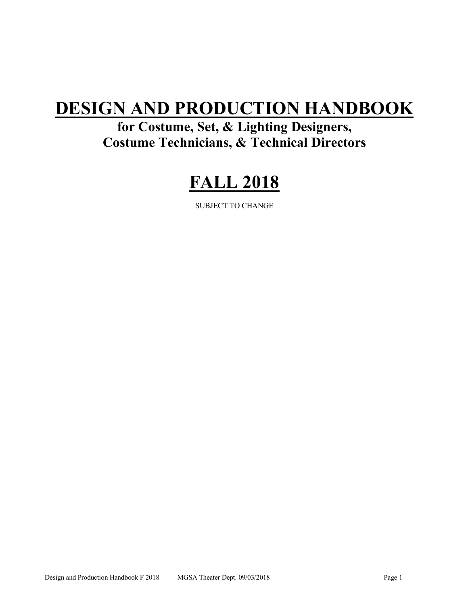# **DESIGN AND PRODUCTION HANDBOOK**

**for Costume, Set, & Lighting Designers, Costume Technicians, & Technical Directors**

# **FALL 2018**

SUBJECT TO CHANGE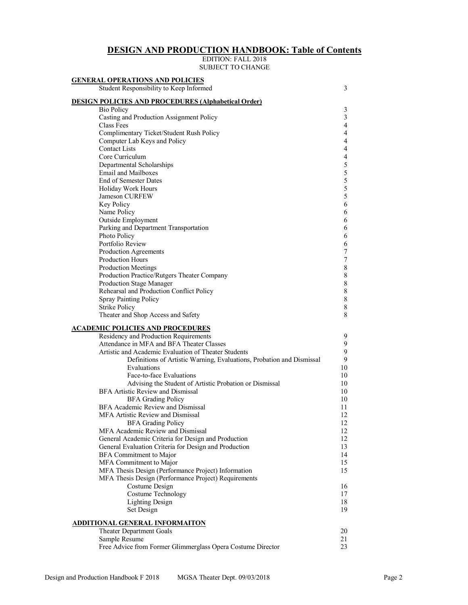# **DESIGN AND PRODUCTION HANDBOOK: Table of Contents**

#### EDITION: FALL 2018 SUBJECT TO CHANGE

| Student Responsibility to Keep Informed                               |    |
|-----------------------------------------------------------------------|----|
| <b>DESIGN POLICIES AND PROCEDURES (Alphabetical Order)</b>            |    |
| <b>Bio Policy</b>                                                     |    |
| Casting and Production Assignment Policy                              |    |
| Class Fees                                                            |    |
| Complimentary Ticket/Student Rush Policy                              |    |
| Computer Lab Keys and Policy                                          |    |
| <b>Contact Lists</b>                                                  |    |
| Core Curriculum                                                       |    |
| Departmental Scholarships                                             |    |
| <b>Email and Mailboxes</b>                                            |    |
| End of Semester Dates                                                 |    |
| Holiday Work Hours                                                    |    |
| Jameson CURFEW                                                        |    |
| Key Policy                                                            |    |
| Name Policy                                                           |    |
| <b>Outside Employment</b>                                             |    |
| Parking and Department Transportation                                 |    |
| Photo Policy                                                          |    |
| Portfolio Review                                                      |    |
| Production Agreements                                                 |    |
| <b>Production Hours</b>                                               |    |
| <b>Production Meetings</b>                                            |    |
| Production Practice/Rutgers Theater Company                           |    |
| Production Stage Manager                                              |    |
| Rehearsal and Production Conflict Policy                              |    |
| <b>Spray Painting Policy</b>                                          |    |
| <b>Strike Policy</b>                                                  |    |
| Theater and Shop Access and Safety                                    |    |
| <b>ACADEMIC POLICIES AND PROCEDURES</b>                               |    |
| Residency and Production Requirements                                 |    |
| Attendance in MFA and BFA Theater Classes                             |    |
| Artistic and Academic Evaluation of Theater Students                  |    |
| Definitions of Artistic Warning, Evaluations, Probation and Dismissal |    |
| Evaluations                                                           | 10 |
| Face-to-face Evaluations                                              | 10 |
| Advising the Student of Artistic Probation or Dismissal               | 10 |
| <b>BFA Artistic Review and Dismissal</b>                              | 10 |
| <b>BFA Grading Policy</b>                                             | 10 |
| BFA Academic Review and Dismissal                                     | 11 |
| MFA Artistic Review and Dismissal                                     | 12 |
| <b>BFA Grading Policy</b>                                             | 12 |
| MFA Academic Review and Dismissal                                     | 12 |
| General Academic Criteria for Design and Production                   | 12 |
| General Evaluation Criteria for Design and Production                 | 13 |
| <b>BFA</b> Commitment to Major                                        | 14 |
| MFA Commitment to Major                                               | 15 |
| MFA Thesis Design (Performance Project) Information                   | 15 |
| MFA Thesis Design (Performance Project) Requirements                  |    |
| Costume Design                                                        | 16 |
| Costume Technology                                                    | 17 |
| <b>Lighting Design</b>                                                | 18 |
| Set Design                                                            | 19 |
| ADDITIONAL GENERAL INFORMAITON                                        |    |
| <b>Theater Department Goals</b>                                       | 20 |
| Sample Resume                                                         | 21 |
| Free Advice from Former Glimmerglass Opera Costume Director           | 23 |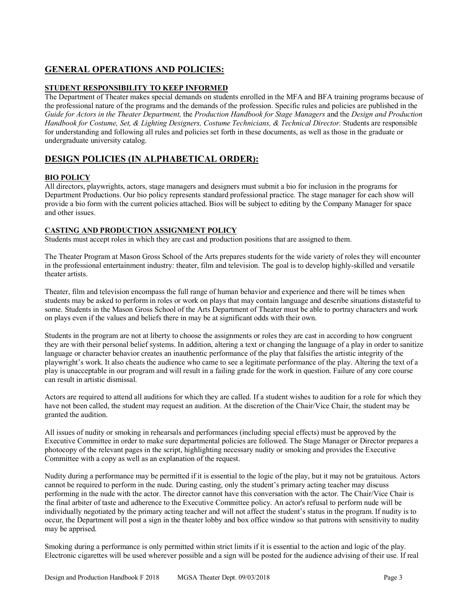# **GENERAL OPERATIONS AND POLICIES:**

# **STUDENT RESPONSIBILITY TO KEEP INFORMED**

The Department of Theater makes special demands on students enrolled in the MFA and BFA training programs because of the professional nature of the programs and the demands of the profession. Specific rules and policies are published in the *Guide for Actors in the Theater Department,* the *Production Handbook for Stage Managers* and the *Design and Production Handbook for Costume, Set, & Lighting Designers, Costume Technicians, & Technical Director. Students are responsible* for understanding and following all rules and policies set forth in these documents, as well as those in the graduate or undergraduate university catalog.

# **DESIGN POLICIES (IN ALPHABETICAL ORDER):**

# **BIO POLICY**

All directors, playwrights, actors, stage managers and designers must submit a bio for inclusion in the programs for Department Productions. Our bio policy represents standard professional practice. The stage manager for each show will provide a bio form with the current policies attached. Bios will be subject to editing by the Company Manager for space and other issues.

# **CASTING AND PRODUCTION ASSIGNMENT POLICY**

Students must accept roles in which they are cast and production positions that are assigned to them.

The Theater Program at Mason Gross School of the Arts prepares students for the wide variety of roles they will encounter in the professional entertainment industry: theater, film and television. The goal is to develop highly-skilled and versatile theater artists.

Theater, film and television encompass the full range of human behavior and experience and there will be times when students may be asked to perform in roles or work on plays that may contain language and describe situations distasteful to some. Students in the Mason Gross School of the Arts Department of Theater must be able to portray characters and work on plays even if the values and beliefs there in may be at significant odds with their own.

Students in the program are not at liberty to choose the assignments or roles they are cast in according to how congruent they are with their personal belief systems. In addition, altering a text or changing the language of a play in order to sanitize language or character behavior creates an inauthentic performance of the play that falsifies the artistic integrity of the playwright's work. It also cheats the audience who came to see a legitimate performance of the play. Altering the text of a play is unacceptable in our program and will result in a failing grade for the work in question. Failure of any core course can result in artistic dismissal.

Actors are required to attend all auditions for which they are called. If a student wishes to audition for a role for which they have not been called, the student may request an audition. At the discretion of the Chair/Vice Chair, the student may be granted the audition.

All issues of nudity or smoking in rehearsals and performances (including special effects) must be approved by the Executive Committee in order to make sure departmental policies are followed. The Stage Manager or Director prepares a photocopy of the relevant pages in the script, highlighting necessary nudity or smoking and provides the Executive Committee with a copy as well as an explanation of the request.

Nudity during a performance may be permitted if it is essential to the logic of the play, but it may not be gratuitous. Actors cannot be required to perform in the nude. During casting, only the student's primary acting teacher may discuss performing in the nude with the actor. The director cannot have this conversation with the actor. The Chair/Vice Chair is the final arbiter of taste and adherence to the Executive Committee policy. An actor's refusal to perform nude will be individually negotiated by the primary acting teacher and will not affect the student's status in the program. If nudity is to occur, the Department will post a sign in the theater lobby and box office window so that patrons with sensitivity to nudity may be apprised.

Smoking during a performance is only permitted within strict limits if it is essential to the action and logic of the play. Electronic cigarettes will be used wherever possible and a sign will be posted for the audience advising of their use. If real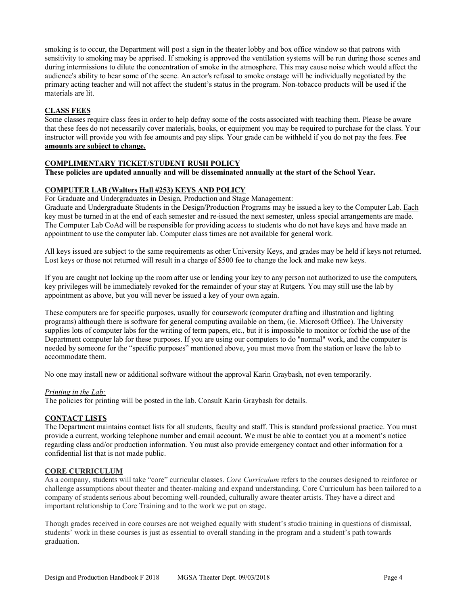smoking is to occur, the Department will post a sign in the theater lobby and box office window so that patrons with sensitivity to smoking may be apprised. If smoking is approved the ventilation systems will be run during those scenes and during intermissions to dilute the concentration of smoke in the atmosphere. This may cause noise which would affect the audience's ability to hear some of the scene. An actor's refusal to smoke onstage will be individually negotiated by the primary acting teacher and will not affect the student's status in the program. Non-tobacco products will be used if the materials are lit.

### **CLASS FEES**

Some classes require class fees in order to help defray some of the costs associated with teaching them. Please be aware that these fees do not necessarily cover materials, books, or equipment you may be required to purchase for the class. Your instructor will provide you with fee amounts and pay slips. Your grade can be withheld if you do not pay the fees. **Fee amounts are subject to change.**

# **COMPLIMENTARY TICKET/STUDENT RUSH POLICY**

# **These policies are updated annually and will be disseminated annually at the start of the School Year.**

### **COMPUTER LAB (Walters Hall #253) KEYS AND POLICY**

For Graduate and Undergraduates in Design, Production and Stage Management:

Graduate and Undergraduate Students in the Design/Production Programs may be issued a key to the Computer Lab. Each key must be turned in at the end of each semester and re-issued the next semester, unless special arrangements are made. The Computer Lab CoAd will be responsible for providing access to students who do not have keys and have made an appointment to use the computer lab. Computer class times are not available for general work.

All keys issued are subject to the same requirements as other University Keys, and grades may be held if keys not returned. Lost keys or those not returned will result in a charge of \$500 fee to change the lock and make new keys.

If you are caught not locking up the room after use or lending your key to any person not authorized to use the computers, key privileges will be immediately revoked for the remainder of your stay at Rutgers. You may still use the lab by appointment as above, but you will never be issued a key of your own again.

These computers are for specific purposes, usually for coursework (computer drafting and illustration and lighting programs) although there is software for general computing available on them, (ie. Microsoft Office). The University supplies lots of computer labs for the writing of term papers, etc., but it is impossible to monitor or forbid the use of the Department computer lab for these purposes. If you are using our computers to do "normal" work, and the computer is needed by someone for the "specific purposes" mentioned above, you must move from the station or leave the lab to accommodate them.

No one may install new or additional software without the approval Karin Graybash, not even temporarily.

### *Printing in the Lab:*

The policies for printing will be posted in the lab. Consult Karin Graybash for details.

# **CONTACT LISTS**

The Department maintains contact lists for all students, faculty and staff. This is standard professional practice. You must provide a current, working telephone number and email account. We must be able to contact you at a moment's notice regarding class and/or production information. You must also provide emergency contact and other information for a confidential list that is not made public.

### **CORE CURRICULUM**

As a company, students will take "core" curricular classes. *Core Curriculum* refers to the courses designed to reinforce or challenge assumptions about theater and theater-making and expand understanding. Core Curriculum has been tailored to a company of students serious about becoming well-rounded, culturally aware theater artists. They have a direct and important relationship to Core Training and to the work we put on stage.

Though grades received in core courses are not weighed equally with student's studio training in questions of dismissal, students' work in these courses is just as essential to overall standing in the program and a student's path towards graduation.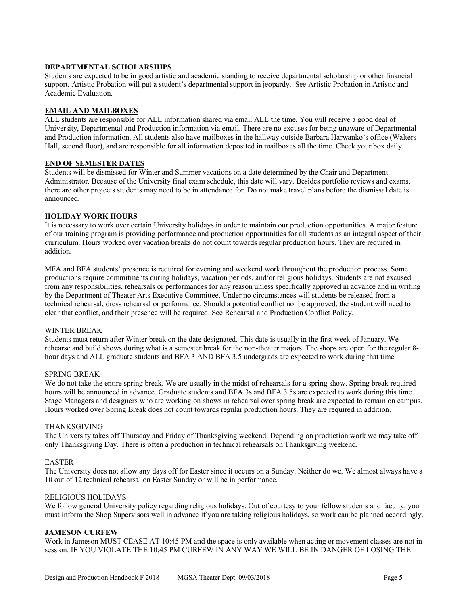## **DEPARTMENTAL SCHOLARSHIPS**

Students are expected to be in good artistic and academic standing to receive departmental scholarship or other financial support. Artistic Probation will put a student's departmental support in jeopardy. See Artistic Probation in Artistic and Academic Evaluation.

#### **EMAIL AND MAILBOXES**

ALL students are responsible for ALL information shared via email ALL the time. You will receive a good deal of University, Departmental and Production information via email. There are no excuses for being unaware of Departmental and Production information. All students also have mailboxes in the hallway outside Barbara Harwanko's office (Walters Hall, second floor), and are responsible for all information deposited in mailboxes all the time. Check your box daily.

#### **END OF SEMESTER DATES**

Students will be dismissed for Winter and Summer vacations on a date determined by the Chair and Department Administrator. Because of the University final exam schedule, this date will vary. Besides portfolio reviews and exams, there are other projects students may need to be in attendance for. Do not make travel plans before the dismissal date is announced.

#### **HOLIDAY WORK HOURS**

It is necessary to work over certain University holidays in order to maintain our production opportunities. A major feature of our training program is providing performance and production opportunities for all students as an integral aspect of their curriculum. Hours worked over vacation breaks do not count towards regular production hours. They are required in addition.

MFA and BFA students' presence is required for evening and weekend work throughout the production process. Some productions require commitments during holidays, vacation periods, and/or religious holidays. Students are not excused from any responsibilities, rehearsals or performances for any reason unless specifically approved in advance and in writing by the Department of Theater Arts Executive Committee. Under no circumstances will students be released from a technical rehearsal, dress rehearsal or performance. Should a potential conflict not be approved, the student will need to clear that conflict, and their presence will be required. See Rehearsal and Production Conflict Policy.

#### WINTER BREAK

Students must return after Winter break on the date designated. This date is usually in the first week of January. We rehearse and build shows during what is a semester break for the non-theater majors. The shops are open for the regular 8 hour days and ALL graduate students and BFA 3 AND BFA 3.5 undergrads are expected to work during that time.

#### SPRING BREAK

We do not take the entire spring break. We are usually in the midst of rehearsals for a spring show. Spring break required hours will be announced in advance. Graduate students and BFA 3s and BFA 3.5s are expected to work during this time. Stage Managers and designers who are working on shows in rehearsal over spring break are expected to remain on campus. Hours worked over Spring Break does not count towards regular production hours. They are required in addition.

#### THANKSGIVING

The University takes off Thursday and Friday of Thanksgiving weekend. Depending on production work we may take off only Thanksgiving Day. There is often a production in technical rehearsals on Thanksgiving weekend.

### EASTER

The University does not allow any days off for Easter since it occurs on a Sunday. Neither do we. We almost always have a 10 out of 12 technical rehearsal on Easter Sunday or will be in performance.

#### RELIGIOUS HOLIDAYS

We follow general University policy regarding religious holidays. Out of courtesy to your fellow students and faculty, you must inform the Shop Supervisors well in advance if you are taking religious holidays, so work can be planned accordingly.

#### **JAMESON CURFEW**

Work in Jameson MUST CEASE AT 10:45 PM and the space is only available when acting or movement classes are not in session. IF YOU VIOLATE THE 10:45 PM CURFEW IN ANY WAY WE WILL BE IN DANGER OF LOSING THE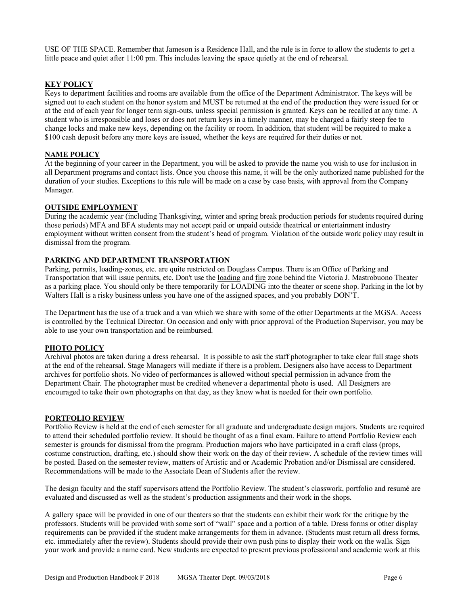USE OF THE SPACE. Remember that Jameson is a Residence Hall, and the rule is in force to allow the students to get a little peace and quiet after 11:00 pm. This includes leaving the space quietly at the end of rehearsal.

#### **KEY POLICY**

Keys to department facilities and rooms are available from the office of the Department Administrator. The keys will be signed out to each student on the honor system and MUST be returned at the end of the production they were issued for or at the end of each year for longer term sign-outs, unless special permission is granted. Keys can be recalled at any time. A student who is irresponsible and loses or does not return keys in a timely manner, may be charged a fairly steep fee to change locks and make new keys, depending on the facility or room. In addition, that student will be required to make a \$100 cash deposit before any more keys are issued, whether the keys are required for their duties or not.

#### **NAME POLICY**

At the beginning of your career in the Department, you will be asked to provide the name you wish to use for inclusion in all Department programs and contact lists. Once you choose this name, it will be the only authorized name published for the duration of your studies. Exceptions to this rule will be made on a case by case basis, with approval from the Company Manager.

#### **OUTSIDE EMPLOYMENT**

During the academic year (including Thanksgiving, winter and spring break production periods for students required during those periods) MFA and BFA students may not accept paid or unpaid outside theatrical or entertainment industry employment without written consent from the student's head of program. Violation of the outside work policy may result in dismissal from the program.

### **PARKING AND DEPARTMENT TRANSPORTATION**

Parking, permits, loading-zones, etc. are quite restricted on Douglass Campus. There is an Office of Parking and Transportation that will issue permits, etc. Don't use the loading and fire zone behind the Victoria J. Mastrobuono Theater as a parking place. You should only be there temporarily for LOADING into the theater or scene shop. Parking in the lot by Walters Hall is a risky business unless you have one of the assigned spaces, and you probably DON'T.

The Department has the use of a truck and a van which we share with some of the other Departments at the MGSA. Access is controlled by the Technical Director. On occasion and only with prior approval of the Production Supervisor, you may be able to use your own transportation and be reimbursed.

### **PHOTO POLICY**

Archival photos are taken during a dress rehearsal. It is possible to ask the staff photographer to take clear full stage shots at the end of the rehearsal. Stage Managers will mediate if there is a problem. Designers also have access to Department archives for portfolio shots. No video of performances is allowed without special permission in advance from the Department Chair. The photographer must be credited whenever a departmental photo is used. All Designers are encouraged to take their own photographs on that day, as they know what is needed for their own portfolio.

#### **PORTFOLIO REVIEW**

Portfolio Review is held at the end of each semester for all graduate and undergraduate design majors. Students are required to attend their scheduled portfolio review. It should be thought of as a final exam. Failure to attend Portfolio Review each semester is grounds for dismissal from the program. Production majors who have participated in a craft class (props, costume construction, drafting, etc.) should show their work on the day of their review. A schedule of the review times will be posted. Based on the semester review, matters of Artistic and or Academic Probation and/or Dismissal are considered. Recommendations will be made to the Associate Dean of Students after the review.

The design faculty and the staff supervisors attend the Portfolio Review. The student's classwork, portfolio and resumé are evaluated and discussed as well as the student's production assignments and their work in the shops.

A gallery space will be provided in one of our theaters so that the students can exhibit their work for the critique by the professors. Students will be provided with some sort of "wall" space and a portion of a table. Dress forms or other display requirements can be provided if the student make arrangements for them in advance. (Students must return all dress forms, etc. immediately after the review). Students should provide their own push pins to display their work on the walls. Sign your work and provide a name card. New students are expected to present previous professional and academic work at this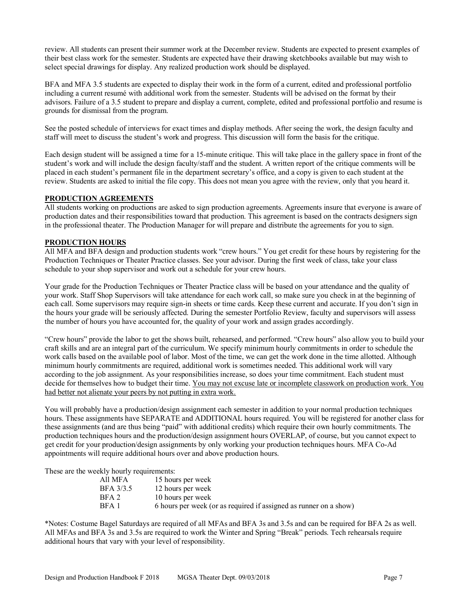review. All students can present their summer work at the December review. Students are expected to present examples of their best class work for the semester. Students are expected have their drawing sketchbooks available but may wish to select special drawings for display. Any realized production work should be displayed.

BFA and MFA 3.5 students are expected to display their work in the form of a current, edited and professional portfolio including a current resumé with additional work from the semester. Students will be advised on the format by their advisors. Failure of a 3.5 student to prepare and display a current, complete, edited and professional portfolio and resume is grounds for dismissal from the program.

See the posted schedule of interviews for exact times and display methods. After seeing the work, the design faculty and staff will meet to discuss the student's work and progress. This discussion will form the basis for the critique.

Each design student will be assigned a time for a 15-minute critique. This will take place in the gallery space in front of the student's work and will include the design faculty/staff and the student. A written report of the critique comments will be placed in each student's permanent file in the department secretary's office, and a copy is given to each student at the review. Students are asked to initial the file copy. This does not mean you agree with the review, only that you heard it.

#### **PRODUCTION AGREEMENTS**

All students working on productions are asked to sign production agreements. Agreements insure that everyone is aware of production dates and their responsibilities toward that production. This agreement is based on the contracts designers sign in the professional theater. The Production Manager for will prepare and distribute the agreements for you to sign.

#### **PRODUCTION HOURS**

All MFA and BFA design and production students work "crew hours." You get credit for these hours by registering for the Production Techniques or Theater Practice classes. See your advisor. During the first week of class, take your class schedule to your shop supervisor and work out a schedule for your crew hours.

Your grade for the Production Techniques or Theater Practice class will be based on your attendance and the quality of your work. Staff Shop Supervisors will take attendance for each work call, so make sure you check in at the beginning of each call. Some supervisors may require sign-in sheets or time cards. Keep these current and accurate. If you don't sign in the hours your grade will be seriously affected. During the semester Portfolio Review, faculty and supervisors will assess the number of hours you have accounted for, the quality of your work and assign grades accordingly.

"Crew hours" provide the labor to get the shows built, rehearsed, and performed. "Crew hours" also allow you to build your craft skills and are an integral part of the curriculum. We specify minimum hourly commitments in order to schedule the work calls based on the available pool of labor. Most of the time, we can get the work done in the time allotted. Although minimum hourly commitments are required, additional work is sometimes needed. This additional work will vary according to the job assignment. As your responsibilities increase, so does your time commitment. Each student must decide for themselves how to budget their time. You may not excuse late or incomplete classwork on production work. You had better not alienate your peers by not putting in extra work.

You will probably have a production/design assignment each semester in addition to your normal production techniques hours. These assignments have SEPARATE and ADDITIONAL hours required. You will be registered for another class for these assignments (and are thus being "paid" with additional credits) which require their own hourly commitments. The production techniques hours and the production/design assignment hours OVERLAP, of course, but you cannot expect to get credit for your production/design assignments by only working your production techniques hours. MFA Co-Ad appointments will require additional hours over and above production hours.

These are the weekly hourly requirements:

| All MFA   | 15 hours per week                                                 |
|-----------|-------------------------------------------------------------------|
| BFA 3/3.5 | 12 hours per week                                                 |
| BFA 2     | 10 hours per week                                                 |
| BFA 1     | 6 hours per week (or as required if assigned as runner on a show) |
|           |                                                                   |

\*Notes: Costume Bagel Saturdays are required of all MFAs and BFA 3s and 3.5s and can be required for BFA 2s as well. All MFAs and BFA 3s and 3.5s are required to work the Winter and Spring "Break" periods. Tech rehearsals require additional hours that vary with your level of responsibility.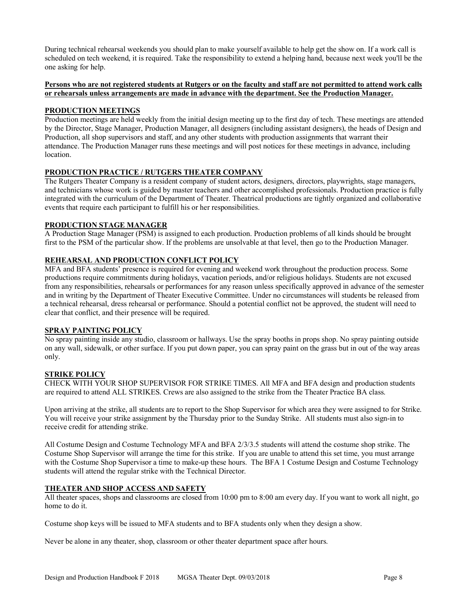During technical rehearsal weekends you should plan to make yourself available to help get the show on. If a work call is scheduled on tech weekend, it is required. Take the responsibility to extend a helping hand, because next week you'll be the one asking for help.

#### **Persons who are not registered students at Rutgers or on the faculty and staff are not permitted to attend work calls or rehearsals unless arrangements are made in advance with the department. See the Production Manager.**

### **PRODUCTION MEETINGS**

Production meetings are held weekly from the initial design meeting up to the first day of tech. These meetings are attended by the Director, Stage Manager, Production Manager, all designers (including assistant designers), the heads of Design and Production, all shop supervisors and staff, and any other students with production assignments that warrant their attendance. The Production Manager runs these meetings and will post notices for these meetings in advance, including location.

## **PRODUCTION PRACTICE / RUTGERS THEATER COMPANY**

The Rutgers Theater Company is a resident company of student actors, designers, directors, playwrights, stage managers, and technicians whose work is guided by master teachers and other accomplished professionals. Production practice is fully integrated with the curriculum of the Department of Theater. Theatrical productions are tightly organized and collaborative events that require each participant to fulfill his or her responsibilities.

#### **PRODUCTION STAGE MANAGER**

A Production Stage Manager (PSM) is assigned to each production. Production problems of all kinds should be brought first to the PSM of the particular show. If the problems are unsolvable at that level, then go to the Production Manager.

### **REHEARSAL AND PRODUCTION CONFLICT POLICY**

MFA and BFA students' presence is required for evening and weekend work throughout the production process. Some productions require commitments during holidays, vacation periods, and/or religious holidays. Students are not excused from any responsibilities, rehearsals or performances for any reason unless specifically approved in advance of the semester and in writing by the Department of Theater Executive Committee. Under no circumstances will students be released from a technical rehearsal, dress rehearsal or performance. Should a potential conflict not be approved, the student will need to clear that conflict, and their presence will be required.

### **SPRAY PAINTING POLICY**

No spray painting inside any studio, classroom or hallways. Use the spray booths in props shop. No spray painting outside on any wall, sidewalk, or other surface. If you put down paper, you can spray paint on the grass but in out of the way areas only.

### **STRIKE POLICY**

CHECK WITH YOUR SHOP SUPERVISOR FOR STRIKE TIMES. All MFA and BFA design and production students are required to attend ALL STRIKES. Crews are also assigned to the strike from the Theater Practice BA class.

Upon arriving at the strike, all students are to report to the Shop Supervisor for which area they were assigned to for Strike. You will receive your strike assignment by the Thursday prior to the Sunday Strike. All students must also sign-in to receive credit for attending strike.

All Costume Design and Costume Technology MFA and BFA 2/3/3.5 students will attend the costume shop strike. The Costume Shop Supervisor will arrange the time for this strike. If you are unable to attend this set time, you must arrange with the Costume Shop Supervisor a time to make-up these hours. The BFA 1 Costume Design and Costume Technology students will attend the regular strike with the Technical Director.

#### **THEATER AND SHOP ACCESS AND SAFETY**

All theater spaces, shops and classrooms are closed from 10:00 pm to 8:00 am every day. If you want to work all night, go home to do it.

Costume shop keys will be issued to MFA students and to BFA students only when they design a show.

Never be alone in any theater, shop, classroom or other theater department space after hours.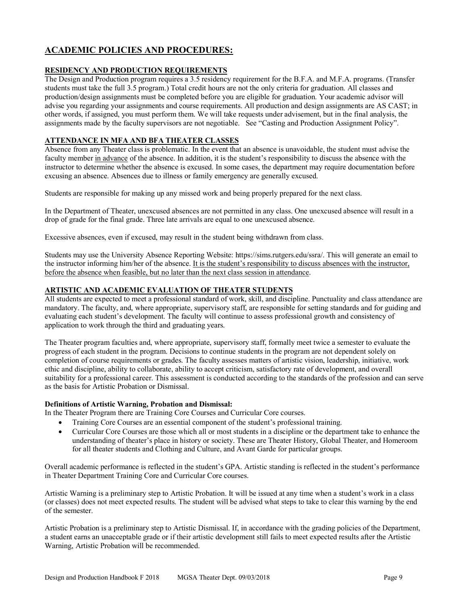# **ACADEMIC POLICIES AND PROCEDURES:**

# **RESIDENCY AND PRODUCTION REQUIREMENTS**

The Design and Production program requires a 3.5 residency requirement for the B.F.A. and M.F.A. programs. (Transfer students must take the full 3.5 program.) Total credit hours are not the only criteria for graduation. All classes and production/design assignments must be completed before you are eligible for graduation. Your academic advisor will advise you regarding your assignments and course requirements. All production and design assignments are AS CAST; in other words, if assigned, you must perform them. We will take requests under advisement, but in the final analysis, the assignments made by the faculty supervisors are not negotiable. See "Casting and Production Assignment Policy".

# **ATTENDANCE IN MFA AND BFA THEATER CLASSES**

Absence from any Theater class is problematic. In the event that an absence is unavoidable, the student must advise the faculty member in advance of the absence. In addition, it is the student's responsibility to discuss the absence with the instructor to determine whether the absence is excused. In some cases, the department may require documentation before excusing an absence. Absences due to illness or family emergency are generally excused.

Students are responsible for making up any missed work and being properly prepared for the next class.

In the Department of Theater, unexcused absences are not permitted in any class. One unexcused absence will result in a drop of grade for the final grade. Three late arrivals are equal to one unexcused absence.

Excessive absences, even if excused, may result in the student being withdrawn from class.

Students may use the University Absence Reporting Website: https://sims.rutgers.edu/ssra/. This will generate an email to the instructor informing him/her of the absence. It is the student's responsibility to discuss absences with the instructor, before the absence when feasible, but no later than the next class session in attendance.

### **ARTISTIC AND ACADEMIC EVALUATION OF THEATER STUDENTS**

All students are expected to meet a professional standard of work, skill, and discipline. Punctuality and class attendance are mandatory. The faculty, and, where appropriate, supervisory staff, are responsible for setting standards and for guiding and evaluating each student's development. The faculty will continue to assess professional growth and consistency of application to work through the third and graduating years.

The Theater program faculties and, where appropriate, supervisory staff, formally meet twice a semester to evaluate the progress of each student in the program. Decisions to continue students in the program are not dependent solely on completion of course requirements or grades. The faculty assesses matters of artistic vision, leadership, initiative, work ethic and discipline, ability to collaborate, ability to accept criticism, satisfactory rate of development, and overall suitability for a professional career. This assessment is conducted according to the standards of the profession and can serve as the basis for Artistic Probation or Dismissal.

#### **Definitions of Artistic Warning, Probation and Dismissal:**

- In the Theater Program there are Training Core Courses and Curricular Core courses.
	- Training Core Courses are an essential component of the student's professional training.
	- Curricular Core Courses are those which all or most students in a discipline or the department take to enhance the understanding of theater's place in history or society. These are Theater History, Global Theater, and Homeroom for all theater students and Clothing and Culture, and Avant Garde for particular groups.

Overall academic performance is reflected in the student's GPA. Artistic standing is reflected in the student's performance in Theater Department Training Core and Curricular Core courses.

Artistic Warning is a preliminary step to Artistic Probation. It will be issued at any time when a student's work in a class (or classes) does not meet expected results. The student will be advised what steps to take to clear this warning by the end of the semester.

Artistic Probation is a preliminary step to Artistic Dismissal. If, in accordance with the grading policies of the Department, a student earns an unacceptable grade or if their artistic development still fails to meet expected results after the Artistic Warning, Artistic Probation will be recommended.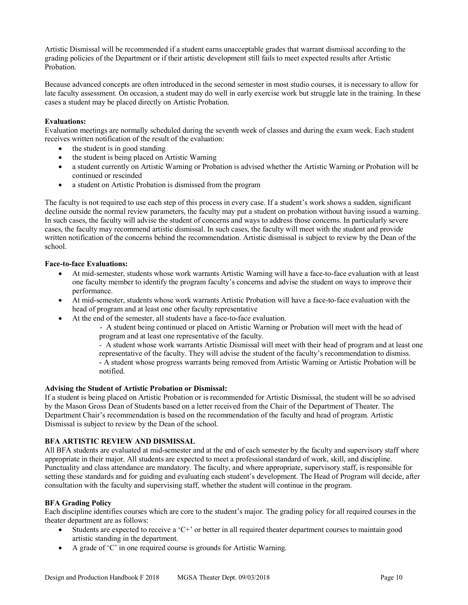Artistic Dismissal will be recommended if a student earns unacceptable grades that warrant dismissal according to the grading policies of the Department or if their artistic development still fails to meet expected results after Artistic Probation.

Because advanced concepts are often introduced in the second semester in most studio courses, it is necessary to allow for late faculty assessment. On occasion, a student may do well in early exercise work but struggle late in the training. In these cases a student may be placed directly on Artistic Probation.

### **Evaluations:**

Evaluation meetings are normally scheduled during the seventh week of classes and during the exam week. Each student receives written notification of the result of the evaluation:

- the student is in good standing
- the student is being placed on Artistic Warning
- a student currently on Artistic Warning or Probation is advised whether the Artistic Warning or Probation will be continued or rescinded
- a student on Artistic Probation is dismissed from the program

The faculty is not required to use each step of this process in every case. If a student's work shows a sudden, significant decline outside the normal review parameters, the faculty may put a student on probation without having issued a warning. In such cases, the faculty will advise the student of concerns and ways to address those concerns. In particularly severe cases, the faculty may recommend artistic dismissal. In such cases, the faculty will meet with the student and provide written notification of the concerns behind the recommendation. Artistic dismissal is subject to review by the Dean of the school.

#### **Face-to-face Evaluations:**

- At mid-semester, students whose work warrants Artistic Warning will have a face-to-face evaluation with at least one faculty member to identify the program faculty's concerns and advise the student on ways to improve their performance.
- At mid-semester, students whose work warrants Artistic Probation will have a face-to-face evaluation with the head of program and at least one other faculty representative
- At the end of the semester, all students have a face-to-face evaluation.

- A student being continued or placed on Artistic Warning or Probation will meet with the head of program and at least one representative of the faculty.

- A student whose work warrants Artistic Dismissal will meet with their head of program and at least one

representative of the faculty. They will advise the student of the faculty's recommendation to dismiss. - A student whose progress warrants being removed from Artistic Warning or Artistic Probation will be notified.

#### **Advising the Student of Artistic Probation or Dismissal:**

If a student is being placed on Artistic Probation or is recommended for Artistic Dismissal, the student will be so advised by the Mason Gross Dean of Students based on a letter received from the Chair of the Department of Theater. The Department Chair's recommendation is based on the recommendation of the faculty and head of program. Artistic Dismissal is subject to review by the Dean of the school.

### **BFA ARTISTIC REVIEW AND DISMISSAL**

All BFA students are evaluated at mid-semester and at the end of each semester by the faculty and supervisory staff where appropriate in their major. All students are expected to meet a professional standard of work, skill, and discipline. Punctuality and class attendance are mandatory. The faculty, and where appropriate, supervisory staff, is responsible for setting these standards and for guiding and evaluating each student's development. The Head of Program will decide, after consultation with the faculty and supervising staff, whether the student will continue in the program.

### **BFA Grading Policy**

Each discipline identifies courses which are core to the student's major. The grading policy for all required courses in the theater department are as follows:

- Students are expected to receive a 'C+' or better in all required theater department courses to maintain good artistic standing in the department.
- A grade of 'C' in one required course is grounds for Artistic Warning.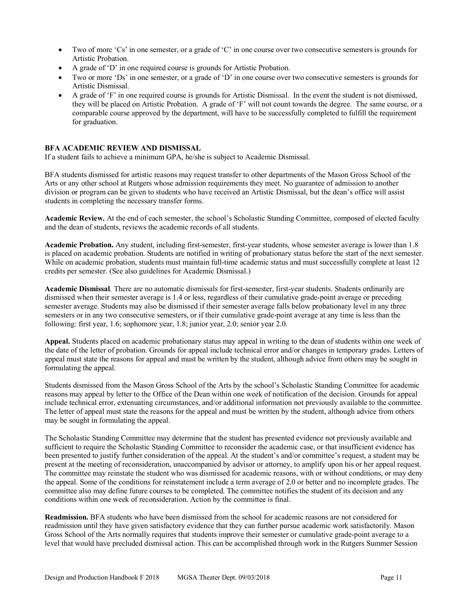- Two of more 'Cs' in one semester, or a grade of 'C' in one course over two consecutive semesters is grounds for Artistic Probation.
- A grade of 'D' in one required course is grounds for Artistic Probation.
- Two or more 'Ds' in one semester, or a grade of 'D' in one course over two consecutive semesters is grounds for Artistic Dismissal.
- A grade of 'F' in one required course is grounds for Artistic Dismissal. In the event the student is not dismissed, they will be placed on Artistic Probation. A grade of 'F' will not count towards the degree. The same course, or a comparable course approved by the department, will have to be successfully completed to fulfill the requirement for graduation.

#### **BFA ACADEMIC REVIEW AND DISMISSAL**

If a student fails to achieve a minimum GPA, he/she is subject to Academic Dismissal.

BFA students dismissed for artistic reasons may request transfer to other departments of the Mason Gross School of the Arts or any other school at Rutgers whose admission requirements they meet. No guarantee of admission to another division or program can be given to students who have received an Artistic Dismissal, but the dean's office will assist students in completing the necessary transfer forms.

**Academic Review.** At the end of each semester, the school's Scholastic Standing Committee, composed of elected faculty and the dean of students, reviews the academic records of all students.

**Academic Probation.** Any student, including first-semester, first-year students, whose semester average is lower than 1.8 is placed on academic probation. Students are notified in writing of probationary status before the start of the next semester. While on academic probation, students must maintain full-time academic status and must successfully complete at least 12 credits per semester. (See also guidelines for Academic Dismissal.)

**Academic Dismissal***.* There are no automatic dismissals for first-semester, first-year students. Students ordinarily are dismissed when their semester average is 1.4 or less, regardless of their cumulative grade-point average or preceding semester average. Students may also be dismissed if their semester average falls below probationary level in any three semesters or in any two consecutive semesters, or if their cumulative grade-point average at any time is less than the following: first year, 1.6; sophomore year, 1.8; junior year, 2.0; senior year 2.0.

**Appeal.** Students placed on academic probationary status may appeal in writing to the dean of students within one week of the date of the letter of probation. Grounds for appeal include technical error and/or changes in temporary grades. Letters of appeal must state the reasons for appeal and must be written by the student, although advice from others may be sought in formulating the appeal.

Students dismissed from the Mason Gross School of the Arts by the school's Scholastic Standing Committee for academic reasons may appeal by letter to the Office of the Dean within one week of notification of the decision. Grounds for appeal include technical error, extenuating circumstances, and/or additional information not previously available to the committee. The letter of appeal must state the reasons for the appeal and must be written by the student, although advice from others may be sought in formulating the appeal.

The Scholastic Standing Committee may determine that the student has presented evidence not previously available and sufficient to require the Scholastic Standing Committee to reconsider the academic case, or that insufficient evidence has been presented to justify further consideration of the appeal. At the student's and/or committee's request, a student may be present at the meeting of reconsideration, unaccompanied by advisor or attorney, to amplify upon his or her appeal request. The committee may reinstate the student who was dismissed for academic reasons, with or without conditions, or may deny the appeal. Some of the conditions for reinstatement include a term average of 2.0 or better and no incomplete grades. The committee also may define future courses to be completed. The committee notifies the student of its decision and any conditions within one week of reconsideration. Action by the committee is final.

**Readmission.** BFA students who have been dismissed from the school for academic reasons are not considered for readmission until they have given satisfactory evidence that they can further pursue academic work satisfactorily. Mason Gross School of the Arts normally requires that students improve their semester or cumulative grade-point average to a level that would have precluded dismissal action. This can be accomplished through work in the Rutgers Summer Session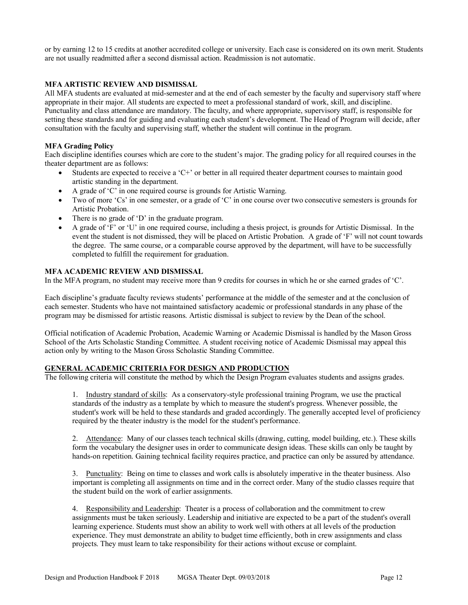or by earning 12 to 15 credits at another accredited college or university. Each case is considered on its own merit. Students are not usually readmitted after a second dismissal action. Readmission is not automatic.

#### **MFA ARTISTIC REVIEW AND DISMISSAL**

All MFA students are evaluated at mid-semester and at the end of each semester by the faculty and supervisory staff where appropriate in their major. All students are expected to meet a professional standard of work, skill, and discipline. Punctuality and class attendance are mandatory. The faculty, and where appropriate, supervisory staff, is responsible for setting these standards and for guiding and evaluating each student's development. The Head of Program will decide, after consultation with the faculty and supervising staff, whether the student will continue in the program.

#### **MFA Grading Policy**

Each discipline identifies courses which are core to the student's major. The grading policy for all required courses in the theater department are as follows:

- Students are expected to receive a 'C+' or better in all required theater department courses to maintain good artistic standing in the department.
- A grade of 'C' in one required course is grounds for Artistic Warning.
- Two of more 'Cs' in one semester, or a grade of 'C' in one course over two consecutive semesters is grounds for Artistic Probation.
- There is no grade of 'D' in the graduate program.
- A grade of 'F' or 'U' in one required course, including a thesis project, is grounds for Artistic Dismissal. In the event the student is not dismissed, they will be placed on Artistic Probation. A grade of 'F' will not count towards the degree. The same course, or a comparable course approved by the department, will have to be successfully completed to fulfill the requirement for graduation.

#### **MFA ACADEMIC REVIEW AND DISMISSAL**

In the MFA program, no student may receive more than 9 credits for courses in which he or she earned grades of 'C'.

Each discipline's graduate faculty reviews students' performance at the middle of the semester and at the conclusion of each semester. Students who have not maintained satisfactory academic or professional standards in any phase of the program may be dismissed for artistic reasons. Artistic dismissal is subject to review by the Dean of the school.

Official notification of Academic Probation, Academic Warning or Academic Dismissal is handled by the Mason Gross School of the Arts Scholastic Standing Committee. A student receiving notice of Academic Dismissal may appeal this action only by writing to the Mason Gross Scholastic Standing Committee.

### **GENERAL ACADEMIC CRITERIA FOR DESIGN AND PRODUCTION**

The following criteria will constitute the method by which the Design Program evaluates students and assigns grades.

1. Industry standard of skills: As a conservatory-style professional training Program, we use the practical standards of the industry as a template by which to measure the student's progress. Whenever possible, the student's work will be held to these standards and graded accordingly. The generally accepted level of proficiency required by the theater industry is the model for the student's performance.

2. Attendance: Many of our classes teach technical skills (drawing, cutting, model building, etc.). These skills form the vocabulary the designer uses in order to communicate design ideas. These skills can only be taught by hands-on repetition. Gaining technical facility requires practice, and practice can only be assured by attendance.

3. Punctuality: Being on time to classes and work calls is absolutely imperative in the theater business. Also important is completing all assignments on time and in the correct order. Many of the studio classes require that the student build on the work of earlier assignments.

4. Responsibility and Leadership: Theater is a process of collaboration and the commitment to crew assignments must be taken seriously. Leadership and initiative are expected to be a part of the student's overall learning experience. Students must show an ability to work well with others at all levels of the production experience. They must demonstrate an ability to budget time efficiently, both in crew assignments and class projects. They must learn to take responsibility for their actions without excuse or complaint.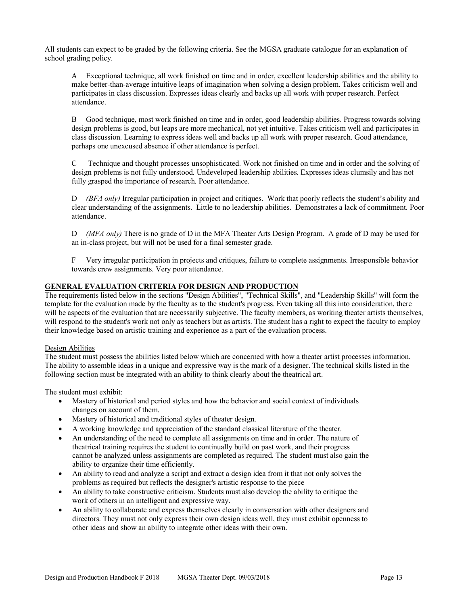All students can expect to be graded by the following criteria. See the MGSA graduate catalogue for an explanation of school grading policy.

A Exceptional technique, all work finished on time and in order, excellent leadership abilities and the ability to make better-than-average intuitive leaps of imagination when solving a design problem. Takes criticism well and participates in class discussion. Expresses ideas clearly and backs up all work with proper research. Perfect attendance.

B Good technique, most work finished on time and in order, good leadership abilities. Progress towards solving design problems is good, but leaps are more mechanical, not yet intuitive. Takes criticism well and participates in class discussion. Learning to express ideas well and backs up all work with proper research. Good attendance, perhaps one unexcused absence if other attendance is perfect.

C Technique and thought processes unsophisticated. Work not finished on time and in order and the solving of design problems is not fully understood. Undeveloped leadership abilities. Expresses ideas clumsily and has not fully grasped the importance of research. Poor attendance.

D *(BFA only)* Irregular participation in project and critiques. Work that poorly reflects the student's ability and clear understanding of the assignments. Little to no leadership abilities. Demonstrates a lack of commitment. Poor attendance.

D *(MFA only)* There is no grade of D in the MFA Theater Arts Design Program. A grade of D may be used for an in-class project, but will not be used for a final semester grade.

F Very irregular participation in projects and critiques, failure to complete assignments. Irresponsible behavior towards crew assignments. Very poor attendance.

### **GENERAL EVALUATION CRITERIA FOR DESIGN AND PRODUCTION**

The requirements listed below in the sections "Design Abilities", "Technical Skills", and "Leadership Skills" will form the template for the evaluation made by the faculty as to the student's progress. Even taking all this into consideration, there will be aspects of the evaluation that are necessarily subjective. The faculty members, as working theater artists themselves, will respond to the student's work not only as teachers but as artists. The student has a right to expect the faculty to employ their knowledge based on artistic training and experience as a part of the evaluation process.

### Design Abilities

The student must possess the abilities listed below which are concerned with how a theater artist processes information. The ability to assemble ideas in a unique and expressive way is the mark of a designer. The technical skills listed in the following section must be integrated with an ability to think clearly about the theatrical art.

The student must exhibit:

- Mastery of historical and period styles and how the behavior and social context of individuals changes on account of them.
- Mastery of historical and traditional styles of theater design.
- A working knowledge and appreciation of the standard classical literature of the theater.
- An understanding of the need to complete all assignments on time and in order. The nature of theatrical training requires the student to continually build on past work, and their progress cannot be analyzed unless assignments are completed as required. The student must also gain the ability to organize their time efficiently.
- An ability to read and analyze a script and extract a design idea from it that not only solves the problems as required but reflects the designer's artistic response to the piece
- An ability to take constructive criticism. Students must also develop the ability to critique the work of others in an intelligent and expressive way.
- An ability to collaborate and express themselves clearly in conversation with other designers and directors. They must not only express their own design ideas well, they must exhibit openness to other ideas and show an ability to integrate other ideas with their own.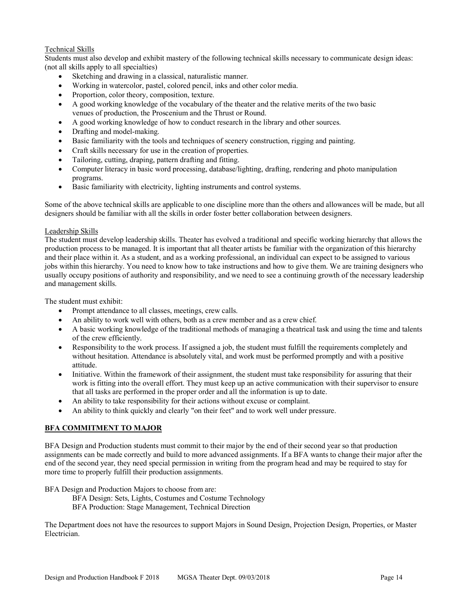## Technical Skills

Students must also develop and exhibit mastery of the following technical skills necessary to communicate design ideas: (not all skills apply to all specialties)

- Sketching and drawing in a classical, naturalistic manner.
- Working in watercolor, pastel, colored pencil, inks and other color media.
- Proportion, color theory, composition, texture.
- A good working knowledge of the vocabulary of the theater and the relative merits of the two basic venues of production, the Proscenium and the Thrust or Round.
- A good working knowledge of how to conduct research in the library and other sources.
- Drafting and model-making.
- Basic familiarity with the tools and techniques of scenery construction, rigging and painting.
- Craft skills necessary for use in the creation of properties.
- Tailoring, cutting, draping, pattern drafting and fitting.
- Computer literacy in basic word processing, database/lighting, drafting, rendering and photo manipulation programs.
- Basic familiarity with electricity, lighting instruments and control systems.

Some of the above technical skills are applicable to one discipline more than the others and allowances will be made, but all designers should be familiar with all the skills in order foster better collaboration between designers.

### Leadership Skills

The student must develop leadership skills. Theater has evolved a traditional and specific working hierarchy that allows the production process to be managed. It is important that all theater artists be familiar with the organization of this hierarchy and their place within it. As a student, and as a working professional, an individual can expect to be assigned to various jobs within this hierarchy. You need to know how to take instructions and how to give them. We are training designers who usually occupy positions of authority and responsibility, and we need to see a continuing growth of the necessary leadership and management skills.

The student must exhibit:

- Prompt attendance to all classes, meetings, crew calls.
- An ability to work well with others, both as a crew member and as a crew chief.
- A basic working knowledge of the traditional methods of managing a theatrical task and using the time and talents of the crew efficiently.
- Responsibility to the work process. If assigned a job, the student must fulfill the requirements completely and without hesitation. Attendance is absolutely vital, and work must be performed promptly and with a positive attitude.
- Initiative. Within the framework of their assignment, the student must take responsibility for assuring that their work is fitting into the overall effort. They must keep up an active communication with their supervisor to ensure that all tasks are performed in the proper order and all the information is up to date.
- An ability to take responsibility for their actions without excuse or complaint.
- An ability to think quickly and clearly "on their feet" and to work well under pressure.

# **BFA COMMITMENT TO MAJOR**

BFA Design and Production students must commit to their major by the end of their second year so that production assignments can be made correctly and build to more advanced assignments. If a BFA wants to change their major after the end of the second year, they need special permission in writing from the program head and may be required to stay for more time to properly fulfill their production assignments.

BFA Design and Production Majors to choose from are:

- BFA Design: Sets, Lights, Costumes and Costume Technology
- BFA Production: Stage Management, Technical Direction

The Department does not have the resources to support Majors in Sound Design, Projection Design, Properties, or Master Electrician.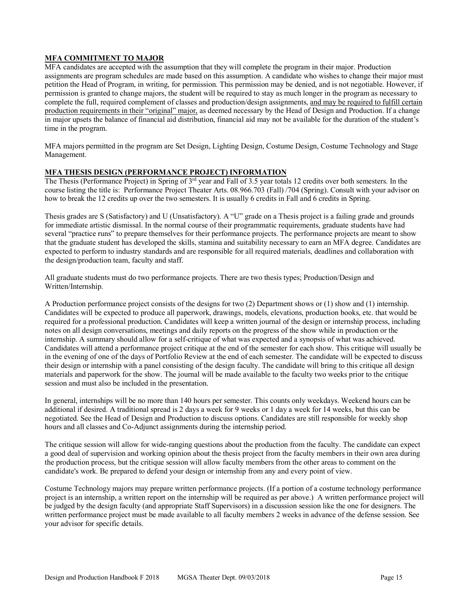# **MFA COMMITMENT TO MAJOR**

MFA candidates are accepted with the assumption that they will complete the program in their major. Production assignments are program schedules are made based on this assumption. A candidate who wishes to change their major must petition the Head of Program, in writing, for permission. This permission may be denied, and is not negotiable. However, if permission is granted to change majors, the student will be required to stay as much longer in the program as necessary to complete the full, required complement of classes and production/design assignments, and may be required to fulfill certain production requirements in their "original" major, as deemed necessary by the Head of Design and Production. If a change in major upsets the balance of financial aid distribution, financial aid may not be available for the duration of the student's time in the program.

MFA majors permitted in the program are Set Design, Lighting Design, Costume Design, Costume Technology and Stage Management.

### **MFA THESIS DESIGN (PERFORMANCE PROJECT) INFORMATION**

The Thesis (Performance Project) in Spring of 3rd year and Fall of 3.5 year totals 12 credits over both semesters. In the course listing the title is: Performance Project Theater Arts. 08.966.703 (Fall) /704 (Spring). Consult with your advisor on how to break the 12 credits up over the two semesters. It is usually 6 credits in Fall and 6 credits in Spring.

Thesis grades are S (Satisfactory) and U (Unsatisfactory). A "U" grade on a Thesis project is a failing grade and grounds for immediate artistic dismissal. In the normal course of their programmatic requirements, graduate students have had several "practice runs" to prepare themselves for their performance projects. The performance projects are meant to show that the graduate student has developed the skills, stamina and suitability necessary to earn an MFA degree. Candidates are expected to perform to industry standards and are responsible for all required materials, deadlines and collaboration with the design/production team, faculty and staff.

All graduate students must do two performance projects. There are two thesis types; Production/Design and Written/Internship.

A Production performance project consists of the designs for two (2) Department shows or (1) show and (1) internship. Candidates will be expected to produce all paperwork, drawings, models, elevations, production books, etc. that would be required for a professional production. Candidates will keep a written journal of the design or internship process, including notes on all design conversations, meetings and daily reports on the progress of the show while in production or the internship. A summary should allow for a self-critique of what was expected and a synopsis of what was achieved. Candidates will attend a performance project critique at the end of the semester for each show. This critique will usually be in the evening of one of the days of Portfolio Review at the end of each semester. The candidate will be expected to discuss their design or internship with a panel consisting of the design faculty. The candidate will bring to this critique all design materials and paperwork for the show. The journal will be made available to the faculty two weeks prior to the critique session and must also be included in the presentation.

In general, internships will be no more than 140 hours per semester. This counts only weekdays. Weekend hours can be additional if desired. A traditional spread is 2 days a week for 9 weeks or 1 day a week for 14 weeks, but this can be negotiated. See the Head of Design and Production to discuss options. Candidates are still responsible for weekly shop hours and all classes and Co-Adjunct assignments during the internship period.

The critique session will allow for wide-ranging questions about the production from the faculty. The candidate can expect a good deal of supervision and working opinion about the thesis project from the faculty members in their own area during the production process, but the critique session will allow faculty members from the other areas to comment on the candidate's work. Be prepared to defend your design or internship from any and every point of view.

Costume Technology majors may prepare written performance projects. (If a portion of a costume technology performance project is an internship, a written report on the internship will be required as per above.) A written performance project will be judged by the design faculty (and appropriate Staff Supervisors) in a discussion session like the one for designers. The written performance project must be made available to all faculty members 2 weeks in advance of the defense session. See your advisor for specific details.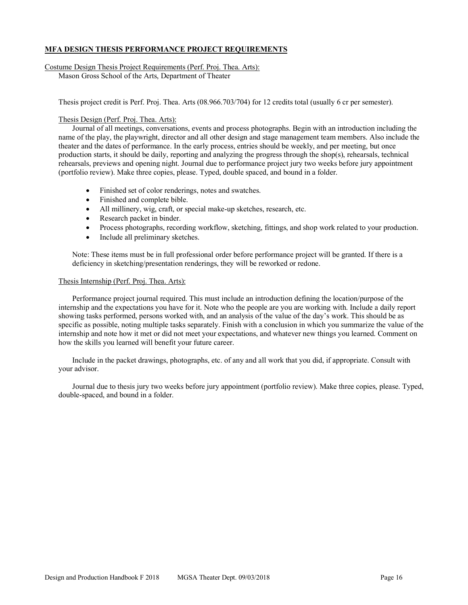#### **MFA DESIGN THESIS PERFORMANCE PROJECT REQUIREMENTS**

#### Costume Design Thesis Project Requirements (Perf. Proj. Thea. Arts):

Mason Gross School of the Arts, Department of Theater

Thesis project credit is Perf. Proj. Thea. Arts (08.966.703/704) for 12 credits total (usually 6 cr per semester).

#### Thesis Design (Perf. Proj. Thea. Arts):

Journal of all meetings, conversations, events and process photographs. Begin with an introduction including the name of the play, the playwright, director and all other design and stage management team members. Also include the theater and the dates of performance. In the early process, entries should be weekly, and per meeting, but once production starts, it should be daily, reporting and analyzing the progress through the shop(s), rehearsals, technical rehearsals, previews and opening night. Journal due to performance project jury two weeks before jury appointment (portfolio review). Make three copies, please. Typed, double spaced, and bound in a folder.

- Finished set of color renderings, notes and swatches.
- Finished and complete bible.
- All millinery, wig, craft, or special make-up sketches, research, etc.
- Research packet in binder.
- Process photographs, recording workflow, sketching, fittings, and shop work related to your production.
- Include all preliminary sketches.

Note: These items must be in full professional order before performance project will be granted. If there is a deficiency in sketching/presentation renderings, they will be reworked or redone.

#### Thesis Internship (Perf. Proj. Thea. Arts):

Performance project journal required. This must include an introduction defining the location/purpose of the internship and the expectations you have for it. Note who the people are you are working with. Include a daily report showing tasks performed, persons worked with, and an analysis of the value of the day's work. This should be as specific as possible, noting multiple tasks separately. Finish with a conclusion in which you summarize the value of the internship and note how it met or did not meet your expectations, and whatever new things you learned. Comment on how the skills you learned will benefit your future career.

Include in the packet drawings, photographs, etc. of any and all work that you did, if appropriate. Consult with your advisor.

Journal due to thesis jury two weeks before jury appointment (portfolio review). Make three copies, please. Typed, double-spaced, and bound in a folder.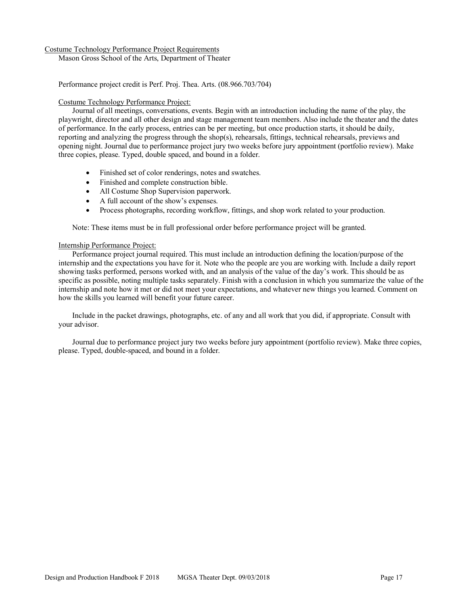#### Costume Technology Performance Project Requirements

Mason Gross School of the Arts, Department of Theater

Performance project credit is Perf. Proj. Thea. Arts. (08.966.703/704)

#### Costume Technology Performance Project:

Journal of all meetings, conversations, events. Begin with an introduction including the name of the play, the playwright, director and all other design and stage management team members. Also include the theater and the dates of performance. In the early process, entries can be per meeting, but once production starts, it should be daily, reporting and analyzing the progress through the shop(s), rehearsals, fittings, technical rehearsals, previews and opening night. Journal due to performance project jury two weeks before jury appointment (portfolio review). Make three copies, please. Typed, double spaced, and bound in a folder.

- Finished set of color renderings, notes and swatches.
- Finished and complete construction bible.
- All Costume Shop Supervision paperwork.
- A full account of the show's expenses.
- Process photographs, recording workflow, fittings, and shop work related to your production.

Note: These items must be in full professional order before performance project will be granted.

#### Internship Performance Project:

Performance project journal required. This must include an introduction defining the location/purpose of the internship and the expectations you have for it. Note who the people are you are working with. Include a daily report showing tasks performed, persons worked with, and an analysis of the value of the day's work. This should be as specific as possible, noting multiple tasks separately. Finish with a conclusion in which you summarize the value of the internship and note how it met or did not meet your expectations, and whatever new things you learned. Comment on how the skills you learned will benefit your future career.

Include in the packet drawings, photographs, etc. of any and all work that you did, if appropriate. Consult with your advisor.

Journal due to performance project jury two weeks before jury appointment (portfolio review). Make three copies, please. Typed, double-spaced, and bound in a folder.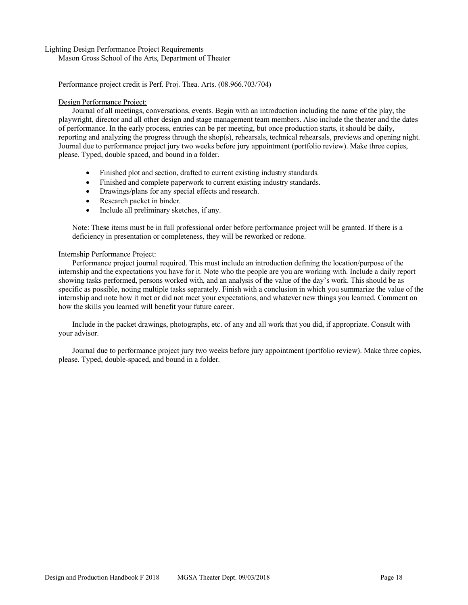#### Lighting Design Performance Project Requirements

Mason Gross School of the Arts, Department of Theater

Performance project credit is Perf. Proj. Thea. Arts. (08.966.703/704)

#### Design Performance Project:

Journal of all meetings, conversations, events. Begin with an introduction including the name of the play, the playwright, director and all other design and stage management team members. Also include the theater and the dates of performance. In the early process, entries can be per meeting, but once production starts, it should be daily, reporting and analyzing the progress through the shop(s), rehearsals, technical rehearsals, previews and opening night. Journal due to performance project jury two weeks before jury appointment (portfolio review). Make three copies, please. Typed, double spaced, and bound in a folder.

- Finished plot and section, drafted to current existing industry standards.
- Finished and complete paperwork to current existing industry standards.
- Drawings/plans for any special effects and research.
- Research packet in binder.
- Include all preliminary sketches, if any.

Note: These items must be in full professional order before performance project will be granted. If there is a deficiency in presentation or completeness, they will be reworked or redone.

#### Internship Performance Project:

Performance project journal required. This must include an introduction defining the location/purpose of the internship and the expectations you have for it. Note who the people are you are working with. Include a daily report showing tasks performed, persons worked with, and an analysis of the value of the day's work. This should be as specific as possible, noting multiple tasks separately. Finish with a conclusion in which you summarize the value of the internship and note how it met or did not meet your expectations, and whatever new things you learned. Comment on how the skills you learned will benefit your future career.

Include in the packet drawings, photographs, etc. of any and all work that you did, if appropriate. Consult with your advisor.

Journal due to performance project jury two weeks before jury appointment (portfolio review). Make three copies, please. Typed, double-spaced, and bound in a folder.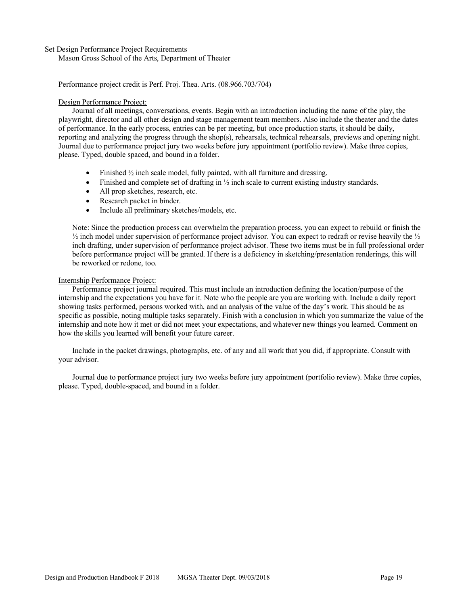#### Set Design Performance Project Requirements

Mason Gross School of the Arts, Department of Theater

Performance project credit is Perf. Proj. Thea. Arts. (08.966.703/704)

#### Design Performance Project:

Journal of all meetings, conversations, events. Begin with an introduction including the name of the play, the playwright, director and all other design and stage management team members. Also include the theater and the dates of performance. In the early process, entries can be per meeting, but once production starts, it should be daily, reporting and analyzing the progress through the shop(s), rehearsals, technical rehearsals, previews and opening night. Journal due to performance project jury two weeks before jury appointment (portfolio review). Make three copies, please. Typed, double spaced, and bound in a folder.

- Finished  $\frac{1}{2}$  inch scale model, fully painted, with all furniture and dressing.
- Finished and complete set of drafting in  $\frac{1}{2}$  inch scale to current existing industry standards.
- All prop sketches, research, etc.
- Research packet in binder.
- Include all preliminary sketches/models, etc.

Note: Since the production process can overwhelm the preparation process, you can expect to rebuild or finish the  $\frac{1}{2}$  inch model under supervision of performance project advisor. You can expect to redraft or revise heavily the  $\frac{1}{2}$ inch drafting, under supervision of performance project advisor. These two items must be in full professional order before performance project will be granted. If there is a deficiency in sketching/presentation renderings, this will be reworked or redone, too.

#### Internship Performance Project:

Performance project journal required. This must include an introduction defining the location/purpose of the internship and the expectations you have for it. Note who the people are you are working with. Include a daily report showing tasks performed, persons worked with, and an analysis of the value of the day's work. This should be as specific as possible, noting multiple tasks separately. Finish with a conclusion in which you summarize the value of the internship and note how it met or did not meet your expectations, and whatever new things you learned. Comment on how the skills you learned will benefit your future career.

Include in the packet drawings, photographs, etc. of any and all work that you did, if appropriate. Consult with your advisor.

Journal due to performance project jury two weeks before jury appointment (portfolio review). Make three copies, please. Typed, double-spaced, and bound in a folder.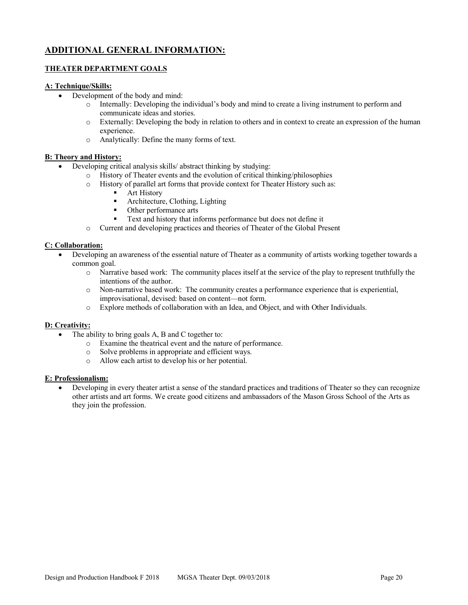# **ADDITIONAL GENERAL INFORMATION:**

# **THEATER DEPARTMENT GOALS**

## **A: Technique/Skills:**

- Development of the body and mind:
	- o Internally: Developing the individual's body and mind to create a living instrument to perform and communicate ideas and stories.
	- o Externally: Developing the body in relation to others and in context to create an expression of the human experience.
	- o Analytically: Define the many forms of text.

# **B: Theory and History:**

- Developing critical analysis skills/ abstract thinking by studying:
	- o History of Theater events and the evolution of critical thinking/philosophies
	- o History of parallel art forms that provide context for Theater History such as:
		- Art History
		- Architecture, Clothing, Lighting
		- Other performance arts
		- Text and history that informs performance but does not define it
	- o Current and developing practices and theories of Theater of the Global Present

# **C: Collaboration:**

- Developing an awareness of the essential nature of Theater as a community of artists working together towards a common goal.
	- o Narrative based work: The community places itself at the service of the play to represent truthfully the intentions of the author.
	- o Non-narrative based work: The community creates a performance experience that is experiential, improvisational, devised: based on content—not form.
	- o Explore methods of collaboration with an Idea, and Object, and with Other Individuals.

### **D: Creativity:**

- The ability to bring goals A, B and C together to:
	- o Examine the theatrical event and the nature of performance.
	- o Solve problems in appropriate and efficient ways.
	- o Allow each artist to develop his or her potential.

### **E: Professionalism:**

• Developing in every theater artist a sense of the standard practices and traditions of Theater so they can recognize other artists and art forms. We create good citizens and ambassadors of the Mason Gross School of the Arts as they join the profession.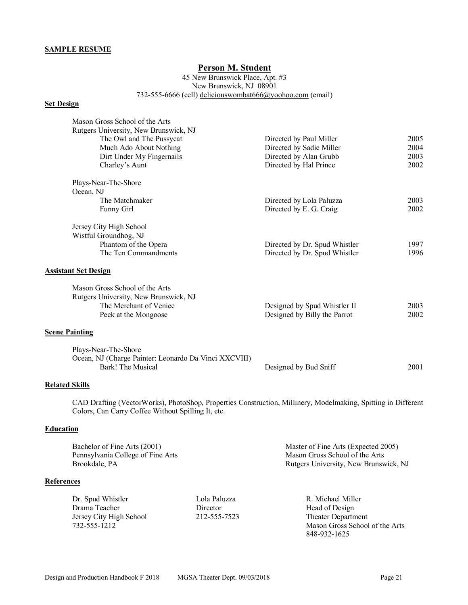#### **SAMPLE RESUME**

# **Person M. Student**

45 New Brunswick Place, Apt. #3 New Brunswick, NJ 08901 732-555-6666 (cell) deliciouswombat666@yoohoo.com (email)

#### **Set Design**

| Mason Gross School of the Arts<br>Rutgers University, New Brunswick, NJ<br>The Owl and The Pussycat<br>Much Ado About Nothing<br>Dirt Under My Fingernails<br>Charley's Aunt | Directed by Paul Miller<br>Directed by Sadie Miller<br>Directed by Alan Grubb<br>Directed by Hal Prince | 2005<br>2004<br>2003<br>2002 |
|------------------------------------------------------------------------------------------------------------------------------------------------------------------------------|---------------------------------------------------------------------------------------------------------|------------------------------|
| Plays-Near-The-Shore<br>Ocean, NJ                                                                                                                                            |                                                                                                         |                              |
| The Matchmaker                                                                                                                                                               | Directed by Lola Paluzza                                                                                | 2003                         |
| <b>Funny Girl</b>                                                                                                                                                            | Directed by E. G. Craig                                                                                 | 2002                         |
| Jersey City High School<br>Wistful Groundhog, NJ<br>Phantom of the Opera<br>The Ten Commandments<br><b>Assistant Set Design</b>                                              | Directed by Dr. Spud Whistler<br>Directed by Dr. Spud Whistler                                          | 1997<br>1996                 |
| Mason Gross School of the Arts<br>Rutgers University, New Brunswick, NJ<br>The Merchant of Venice<br>Peek at the Mongoose                                                    | Designed by Spud Whistler II<br>Designed by Billy the Parrot                                            | 2003<br>2002                 |
| <b>Scene Painting</b>                                                                                                                                                        |                                                                                                         |                              |
| Plays-Near-The-Shore<br>Ocean, NJ (Charge Painter: Leonardo Da Vinci XXCVIII)<br>Bark! The Musical                                                                           | Designed by Bud Sniff                                                                                   | 2001                         |

#### **Related Skills**

CAD Drafting (VectorWorks), PhotoShop, Properties Construction, Millinery, Modelmaking, Spitting in Different Colors, Can Carry Coffee Without Spilling It, etc.

# **Education**

| Bachelor of Fine Arts (2001)      | Master of Fine Arts (Expected 2005)   |
|-----------------------------------|---------------------------------------|
| Pennsylvania College of Fine Arts | Mason Gross School of the Arts        |
| Brookdale, PA                     | Rutgers University, New Brunswick, NJ |

#### **References**

| Dr. Spud Whistler       | Lola Paluzza | R. Michael Miller         |
|-------------------------|--------------|---------------------------|
| Drama Teacher           | Director     | Head of Design            |
| Jersey City High School | 212-555-7523 | <b>Theater Department</b> |
| 732-555-1212            |              | Mason Gross School        |

Mason Gross School of the Arts 848-932-1625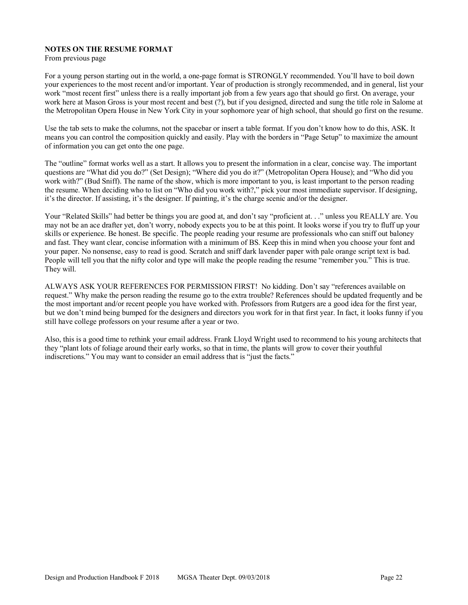#### **NOTES ON THE RESUME FORMAT**

From previous page

For a young person starting out in the world, a one-page format is STRONGLY recommended. You'll have to boil down your experiences to the most recent and/or important. Year of production is strongly recommended, and in general, list your work "most recent first" unless there is a really important job from a few years ago that should go first. On average, your work here at Mason Gross is your most recent and best (?), but if you designed, directed and sung the title role in Salome at the Metropolitan Opera House in New York City in your sophomore year of high school, that should go first on the resume.

Use the tab sets to make the columns, not the spacebar or insert a table format. If you don't know how to do this, ASK. It means you can control the composition quickly and easily. Play with the borders in "Page Setup" to maximize the amount of information you can get onto the one page.

The "outline" format works well as a start. It allows you to present the information in a clear, concise way. The important questions are "What did you do?" (Set Design); "Where did you do it?" (Metropolitan Opera House); and "Who did you work with?" (Bud Sniff). The name of the show, which is more important to you, is least important to the person reading the resume. When deciding who to list on "Who did you work with?," pick your most immediate supervisor. If designing, it's the director. If assisting, it's the designer. If painting, it's the charge scenic and/or the designer.

Your "Related Skills" had better be things you are good at, and don't say "proficient at. . ." unless you REALLY are. You may not be an ace drafter yet, don't worry, nobody expects you to be at this point. It looks worse if you try to fluff up your skills or experience. Be honest. Be specific. The people reading your resume are professionals who can sniff out baloney and fast. They want clear, concise information with a minimum of BS. Keep this in mind when you choose your font and your paper. No nonsense, easy to read is good. Scratch and sniff dark lavender paper with pale orange script text is bad. People will tell you that the nifty color and type will make the people reading the resume "remember you." This is true. They will.

ALWAYS ASK YOUR REFERENCES FOR PERMISSION FIRST! No kidding. Don't say "references available on request." Why make the person reading the resume go to the extra trouble? References should be updated frequently and be the most important and/or recent people you have worked with. Professors from Rutgers are a good idea for the first year, but we don't mind being bumped for the designers and directors you work for in that first year. In fact, it looks funny if you still have college professors on your resume after a year or two.

Also, this is a good time to rethink your email address. Frank Lloyd Wright used to recommend to his young architects that they "plant lots of foliage around their early works, so that in time, the plants will grow to cover their youthful indiscretions." You may want to consider an email address that is "just the facts."